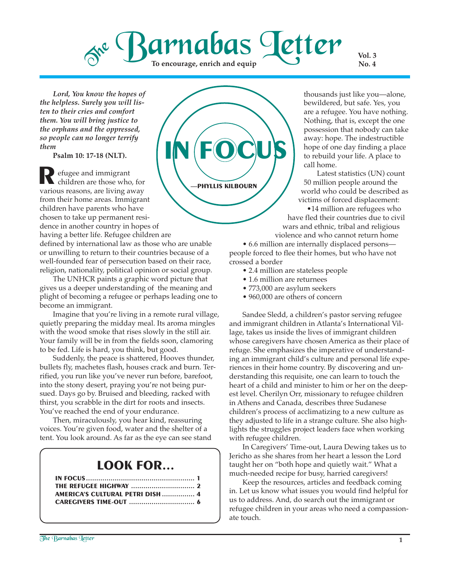### Barnabas Letter  $\delta^{\text{rel}}$ **To encourage, enrich and equip**

**Vol. 3 No. 4**

*Lord, You know the hopes of the helpless. Surely you will listen to their cries and comfort them. You will bring justice to the orphans and the oppressed, so people can no longer terrify them*

**Psalm 10: 17-18 (NLT).**

efugee and immigrant children are those who, for **R** efugee and immigrant children are those who, for various reasons, are living away from their home areas. Immigrant children have parents who have chosen to take up permanent residence in another country in hopes of having a better life. Refugee children are defined by international law as those who are unable or unwilling to return to their countries because of a well-founded fear of persecution based on their race, religion, nationality, political opinion or social group.

The UNHCR paints a graphic word picture that gives us a deeper understanding of the meaning and plight of becoming a refugee or perhaps leading one to become an immigrant.

Imagine that you're living in a remote rural village, quietly preparing the midday meal. Its aroma mingles with the wood smoke that rises slowly in the still air. Your family will be in from the fields soon, clamoring to be fed. Life is hard, you think, but good.

Suddenly, the peace is shattered, Hooves thunder, bullets fly, machetes flash, houses crack and burn. Terrified, you run like you've never run before, barefoot, into the stony desert, praying you're not being pursued. Days go by. Bruised and bleeding, racked with thirst, you scrabble in the dirt for roots and insects. You've reached the end of your endurance.

Then, miraculously, you hear kind, reassuring voices. You're given food, water and the shelter of a tent. You look around. As far as the eye can see stand

### **LOOK FOR...**

| AMERICA'S CULTURAL PETRI DISH  4 |  |
|----------------------------------|--|
|                                  |  |



thousands just like you—alone, bewildered, but safe. Yes, you are a refugee. You have nothing. Nothing, that is, except the one possession that nobody can take away: hope. The indestructible hope of one day finding a place to rebuild your life. A place to call home.

Latest statistics (UN) count 50 million people around the world who could be described as victims of forced displacement:

•14 million are refugees who have fled their countries due to civil wars and ethnic, tribal and religious violence and who cannot return home

• 6.6 million are internally displaced persons people forced to flee their homes, but who have not crossed a border

- 2.4 million are stateless people
- 1.6 million are returnees
- 773,000 are asylum seekers
- 960,000 are others of concern

Sandee Sledd, a children's pastor serving refugee and immigrant children in Atlanta's International Village, takes us inside the lives of immigrant children whose caregivers have chosen America as their place of refuge. She emphasizes the imperative of understanding an immigrant child's culture and personal life experiences in their home country. By discovering and understanding this requisite, one can learn to touch the heart of a child and minister to him or her on the deepest level. Cherilyn Orr, missionary to refugee children in Athens and Canada, describes three Sudanese children's process of acclimatizing to a new culture as they adjusted to life in a strange culture. She also highlights the struggles project leaders face when working with refugee children.

In Caregivers' Time-out, Laura Dewing takes us to Jericho as she shares from her heart a lesson the Lord taught her on "both hope and quietly wait." What a much-needed recipe for busy, harried caregivers!

Keep the resources, articles and feedback coming in. Let us know what issues you would find helpful for us to address. And, do search out the immigrant or refugee children in your areas who need a compassionate touch.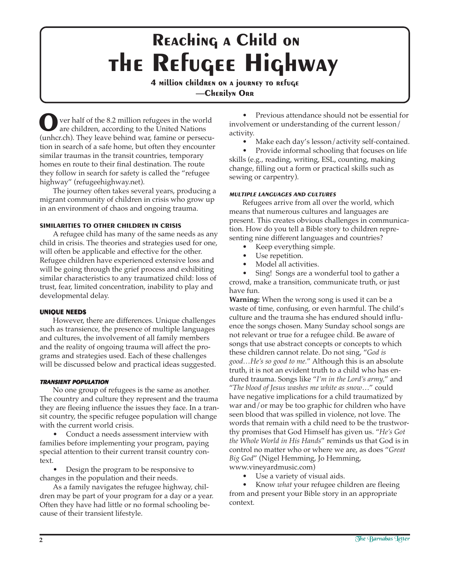## **the Refugee Highway Reaching a Child on**

**4 million children on a journey to refuge —Cherilyn Orr**

ver half of the 8.2 million refugees in the world are children, according to the United Nations (unhcr.ch). They leave behind war, famine or persecution in search of a safe home, but often they encounter similar traumas in the transit countries, temporary homes en route to their final destination. The route they follow in search for safety is called the "refugee highway" (refugeehighway.net). **O**

The journey often takes several years, producing a migrant community of children in crisis who grow up in an environment of chaos and ongoing trauma.

#### **SIMILARITIES TO OTHER CHILDREN IN CRISIS**

A refugee child has many of the same needs as any child in crisis. The theories and strategies used for one, will often be applicable and effective for the other. Refugee children have experienced extensive loss and will be going through the grief process and exhibiting similar characteristics to any traumatized child: loss of trust, fear, limited concentration, inability to play and developmental delay.

#### **UNIQUE NEEDS**

However, there are differences. Unique challenges such as transience, the presence of multiple languages and cultures, the involvement of all family members and the reality of ongoing trauma will affect the programs and strategies used. Each of these challenges will be discussed below and practical ideas suggested.

#### **TRANSIENT POPULATION**

No one group of refugees is the same as another. The country and culture they represent and the trauma they are fleeing influence the issues they face. In a transit country, the specific refugee population will change with the current world crisis.

• Conduct a needs assessment interview with families before implementing your program, paying special attention to their current transit country context.

• Design the program to be responsive to changes in the population and their needs.

As a family navigates the refugee highway, children may be part of your program for a day or a year. Often they have had little or no formal schooling because of their transient lifestyle.

• Previous attendance should not be essential for involvement or understanding of the current lesson/ activity.

Make each day's lesson/activity self-contained.

• Provide informal schooling that focuses on life skills (e.g., reading, writing, ESL, counting, making change, filling out a form or practical skills such as sewing or carpentry).

#### **MULTIPLE LANGUAGES AND CULTURES**

Refugees arrive from all over the world, which means that numerous cultures and languages are present. This creates obvious challenges in communication. How do you tell a Bible story to children representing nine different languages and countries?

- Keep everything simple.
- Use repetition.
- Model all activities.

• Sing! Songs are a wonderful tool to gather a crowd, make a transition, communicate truth, or just have fun.

**Warning:** When the wrong song is used it can be a waste of time, confusing, or even harmful. The child's culture and the trauma she has endured should influence the songs chosen. Many Sunday school songs are not relevant or true for a refugee child. Be aware of songs that use abstract concepts or concepts to which these children cannot relate. Do not sing, "*God is good…He's so good to me.*" Although this is an absolute truth, it is not an evident truth to a child who has endured trauma. Songs like "*I'm in the Lord's army,*" and "*The blood of Jesus washes me white as snow*…" could have negative implications for a child traumatized by war and/or may be too graphic for children who have seen blood that was spilled in violence, not love. The words that remain with a child need to be the trustworthy promises that God Himself has given us. "*He's Got the Whole World in His Hands*" reminds us that God is in control no matter who or where we are, as does "*Great Big God*" (Nigel Hemming, Jo Hemming, www.vineyardmusic.com)

Use a variety of visual aids.

• Know *what* your refugee children are fleeing from and present your Bible story in an appropriate context*.*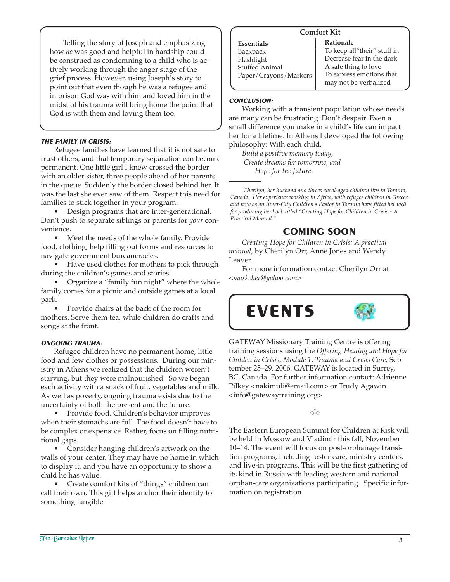Telling the story of Joseph and emphasizing how *he* was good and helpful in hardship could be construed as condemning to a child who is actively working through the anger stage of the grief process. However, using Joseph's story to point out that even though he was a refugee and in prison God was with him and loved him in the midst of his trauma will bring home the point that God is with them and loving them too.

#### **THE FAMILY IN CRISIS:**

Refugee families have learned that it is not safe to trust others, and that temporary separation can become permanent. One little girl I knew crossed the border with an older sister, three people ahead of her parents in the queue. Suddenly the border closed behind her. It was the last she ever saw of them. Respect this need for families to stick together in your program.

• Design programs that are inter-generational. Don't push to separate siblings or parents for *your* convenience.

• Meet the needs of the whole family. Provide food, clothing, help filling out forms and resources to navigate government bureaucracies.

• Have used clothes for mothers to pick through during the children's games and stories.

• Organize a "family fun night" where the whole family comes for a picnic and outside games at a local park.

• Provide chairs at the back of the room for mothers. Serve them tea, while children do crafts and songs at the front.

#### **ONGOING TRAUMA:**

Refugee children have no permanent home, little food and few clothes or possessions. During our ministry in Athens we realized that the children weren't starving, but they were malnourished. So we began each activity with a snack of fruit, vegetables and milk. As well as poverty, ongoing trauma exists due to the uncertainty of both the present and the future.

• Provide food. Children's behavior improves when their stomachs are full. The food doesn't have to be complex or expensive. Rather, focus on filling nutritional gaps.

• Consider hanging children's artwork on the walls of your center. They may have no home in which to display it, and you have an opportunity to show a child he has value.

• Create comfort kits of "things" children can call their own. This gift helps anchor their identity to something tangible

#### **Comfort Kit**

| .                     |                             |  |
|-----------------------|-----------------------------|--|
| Essentials            | Rationale                   |  |
| <b>Backpack</b>       | To keep all"their" stuff in |  |
| Flashlight            | Decrease fear in the dark   |  |
| Stuffed Animal        | A safe thing to love        |  |
| Paper/Crayons/Markers | To express emotions that    |  |
|                       | may not be verbalized       |  |
|                       |                             |  |

#### **CONCLUSION:**

Working with a transient population whose needs are many can be frustrating. Don't despair. Even a small difference you make in a child's life can impact her for a lifetime. In Athens I developed the following philosophy: With each child,

*Build a positive memory today*, *Create dreams for tomorrow, and Hope for the future.*

*Cherilyn, her husband and threes chool-aged children live in Toronto, Canada. Her experience working in Africa, with refugee children in Greece and now as an Inner-City Children's Pastor in Toronto have fitted her well for producing her book titled "Creating Hope for Children in Crisis - A Practical Manual."*

#### **COMING SOON**

*Creating Hope for Children in Crisis: A practical manual*, by Cherilyn Orr, Anne Jones and Wendy Leaver.

For more information contact Cherilyn Orr at *<markcher@yahoo.com>*



GATEWAY Missionary Training Centre is offering training sessions using the *Offering Healing and Hope for Childen in Crisis, Module 1, Trauma and Crisis Care*, September 25–29, 2006. GATEWAY is located in Surrey, BC, Canada. For further information contact: Adrienne Pilkey <nakimuli@email.com> or Trudy Agawin <info@gatewaytraining.org>

Soo

The Eastern European Summit for Children at Risk will be held in Moscow and Vladimir this fall, November 10–14. The event will focus on post-orphanage transition programs, including foster care, ministry centers, and live-in programs. This will be the first gathering of its kind in Russia with leading western and national orphan-care organizations participating. Specific information on registration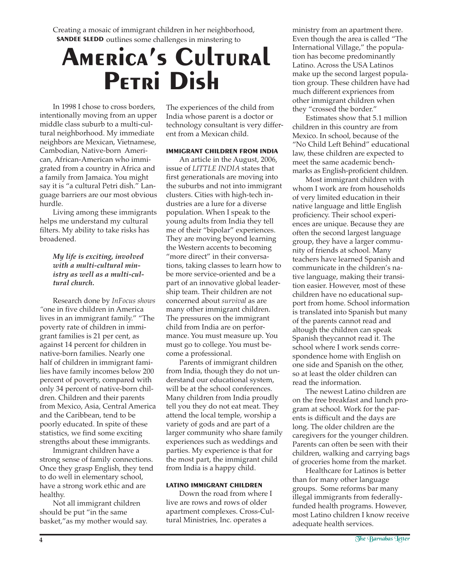Creating a mosaic of immigrant children in her neighborhood, **SANDEE SLEDD** outlines some challenges in minstering to

# **America's Cultural Petri Dish**

In 1998 I chose to cross borders, intentionally moving from an upper middle class suburb to a multi-cultural neighborhood. My immediate neighbors are Mexican, Vietnamese, Cambodian, Native-born American, African-American who immigrated from a country in Africa and a family from Jamaica. You might say it is "a cultural Petri dish." Language barriers are our most obvious hurdle.

Living among these immigrants helps me understand my cultural filters. My ability to take risks has broadened.

#### *My life is exciting, involved with a multi-cultural ministry as well as a multi-cultural church.*

Research done by *InFocus shows "*one in five children in America lives in an immigrant family." "The poverty rate of children in immigrant families is 21 per cent, as against 14 percent for children in native-born families. Nearly one half of children in immigrant families have family incomes below 200 percent of poverty, compared with only 34 percent of native-born children. Children and their parents from Mexico, Asia, Central America and the Caribbean, tend to be poorly educated. In spite of these statistics, we find some exciting strengths about these immigrants.

Immigrant children have a strong sense of family connections. Once they grasp English, they tend to do well in elementary school, have a strong work ethic and are healthy.

Not all immigrant children should be put "in the same basket,"as my mother would say. The experiences of the child from India whose parent is a doctor or technology consultant is very different from a Mexican child.

#### **IMMIGRANT CHILDREN FROM INDIA**

An article in the August, 2006, issue of *LITTLE INDIA* states that first generationals are moving into the suburbs and not into immigrant clusters. Cities with high-tech industries are a lure for a diverse population. When I speak to the young adults from India they tell me of their "bipolar" experiences. They are moving beyond learning the Western accents to becoming "more direct" in their conversations, taking classes to learn how to be more service-oriented and be a part of an innovative global leadership team. Their children are not concerned about *survival* as are many other immigrant children. The pressures on the immigrant child from India are on performance. You must measure up. You must go to college. You must become a professional.

Parents of immigrant children from India, though they do not understand our educational system, will be at the school conferences. Many children from India proudly tell you they do not eat meat. They attend the local temple, worship a variety of gods and are part of a larger community who share family experiences such as weddings and parties. My experience is that for the most part, the immigrant child from India is a happy child.

#### **LATINO IMMIGRANT CHILDREN**

Down the road from where I live are rows and rows of older apartment complexes. Cross-Cultural Ministries, Inc. operates a

ministry from an apartment there. Even though the area is called "The International Village," the population has become predominantly Latino. Across the USA Latinos make up the second largest population group. These children have had much different expriences from other immigrant children when they "crossed the border."

Estimates show that 5.1 million children in this country are from Mexico. In school, because of the "No Child Left Behind" educational law, these children are expected to meet the same academic benchmarks as English-proficient children.

Most immigrant children with whom I work are from households of very limited education in their native language and little English proficiency. Their school experiences are unique. Because they are often the second largest language group, they have a larger community of friends at school. Many teachers have learned Spanish and communicate in the children's native language, making their transition easier. However, most of these children have no educational support from home. School information is translated into Spanish but many of the parents cannot read and altough the children can speak Spanish theycannot read it. The school where I work sends correspondence home with English on one side and Spanish on the other, so at least the older children can read the information.

The newest Latino children are on the free breakfast and lunch program at school. Work for the parents is difficult and the days are long. The older children are the caregivers for the younger children. Parents can often be seen with their children, walking and carrying bags of groceries home from the market.

Healthcare for Latinos is better than for many other language groups. Some reforms bar many illegal immigrants from federallyfunded health programs. However, most Latino children I know receive adequate health services.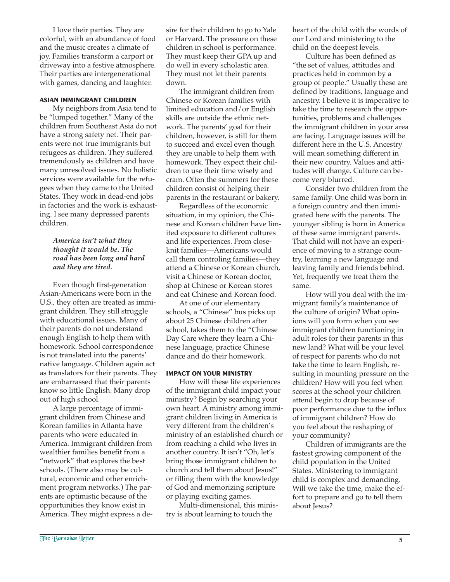I love their parties. They are colorful, with an abundance of food and the music creates a climate of joy. Families transform a carport or driveway into a festive atmosphere. Their parties are intergenerational with games, dancing and laughter.

#### **ASIAN IMMINGRANT CHILDREN**

My neighbors from Asia tend to be "lumped together." Many of the children from Southeast Asia do not have a strong safety net. Their parents were not true immigrants but refugees as children. They suffered tremendously as children and have many unresolved issues. No holistic services were available for the refugees when they came to the United States. They work in dead-end jobs in factories and the work is exhausting. I see many depressed parents children.

#### *America isn't what they thought it would be. The road has been long and hard and they are tired.*

Even though first-generation Asian-Americans were born in the U.S., they often are treated as immigrant children. They still struggle with educational issues. Many of their parents do not understand enough English to help them with homework. School correspondence is not translated into the parents' native language. Children again act as translators for their parents. They are embarrassed that their parents know so little English. Many drop out of high school.

A large percentage of immigrant children from Chinese and Korean families in Atlanta have parents who were educated in America. Immigrant children from wealthier families benefit from a "network" that explores the best schools. (There also may be cultural, economic and other enrichment program networks.) The parents are optimistic because of the opportunities they know exist in America. They might express a desire for their children to go to Yale or Harvard. The pressure on these children in school is performance. They must keep their GPA up and do well in every scholastic area. They must not let their parents down.

The immigrant children from Chinese or Korean families with limited education and/or English skills are outside the ethnic network. The parents' goal for their children, however, is still for them to succeed and excel even though they are unable to help them with homework. They expect their children to use their time wisely and cram. Often the summers for these children consist of helping their parents in the restaurant or bakery.

Regardless of the economic situation, in my opinion, the Chinese and Korean children have limited exposure to different cultures and life experiences. From closeknit families—Americans would call them controling families—they attend a Chinese or Korean church, visit a Chinese or Korean doctor, shop at Chinese or Korean stores and eat Chinese and Korean food.

At one of our elementary schools, a "Chinese" bus picks up about 25 Chinese children after school, takes them to the "Chinese Day Care where they learn a Chinese language, practice Chinese dance and do their homework.

#### **IMPACT ON YOUR MINISTRY**

How will these life experiences of the immigrant child impact your ministry? Begin by searching your own heart. A ministry among immigrant children living in America is very different from the children's ministry of an established church or from reaching a child who lives in another country. It isn't "Oh, let's bring those immigrant children to church and tell them about Jesus!" or filling them with the knowledge of God and memorizing scripture or playing exciting games.

Multi-dimensional, this ministry is about learning to touch the

heart of the child with the words of our Lord and ministering to the child on the deepest levels.

Culture has been defined as "the set of values, attitudes and practices held in common by a group of people." Usually these are defined by traditions, language and ancestry. I believe it is imperative to take the time to research the opportunities, problems and challenges the immigrant children in your area are facing. Language issues will be different here in the U.S. Ancestry will mean something different in their new country. Values and attitudes will change. Culture can become very blurred.

Consider two children from the same family. One child was born in a foreign country and then immigrated here with the parents. The younger sibling is born in America of these same immigrant parents. That child will not have an experience of moving to a strange country, learning a new language and leaving family and friends behind. Yet, frequently we treat them the same.

How will you deal with the immigrant family's maintenance of the culture of origin? What opinions will you form when you see immigrant children functioning in adult roles for their parents in this new land? What will be your level of respect for parents who do not take the time to learn English, resulting in mounting pressure on the children? How will you feel when scores at the school your children attend begin to drop because of poor performance due to the influx of immigrant children? How do you feel about the reshaping of your community?

Children of immigrants are the fastest growing component of the child population in the United States. Ministering to immigrant child is complex and demanding. Will we take the time, make the effort to prepare and go to tell them about Jesus?